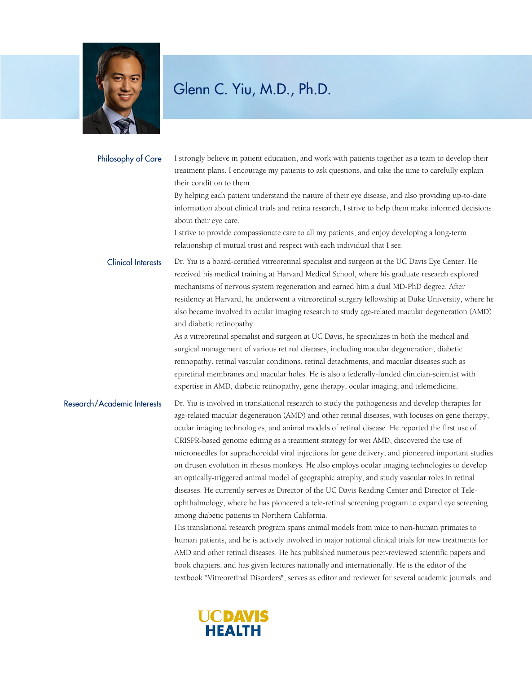

#### Philosophy of Care

I strongly believe in patient education, and work with patients together as a team to develop their treatment plans. I encourage my patients to ask questions, and take the time to carefully explain their condition to them.

By helping each patient understand the nature of their eye disease, and also providing up-to-date information about clinical trials and retina research, I strive to help them make informed decisions about their eye care.

I strive to provide compassionate care to all my patients, and enjoy developing a long-term relationship of mutual trust and respect with each individual that I see.

Dr. Yiu is a board-certified vitreoretinal specialist and surgeon at the UC Davis Eye Center. He received his medical training at Harvard Medical School, where his graduate research explored mechanisms of nervous system regeneration and earned him a dual MD-PhD degree. After residency at Harvard, he underwent a vitreoretinal surgery fellowship at Duke University, where he also became involved in ocular imaging research to study age-related macular degeneration (AMD) and diabetic retinopathy. Clinical Interests

> As a vitreoretinal specialist and surgeon at UC Davis, he specializes in both the medical and surgical management of various retinal diseases, including macular degeneration, diabetic retinopathy, retinal vascular conditions, retinal detachments, and macular diseases such as epiretinal membranes and macular holes. He is also a federally-funded clinician-scientist with expertise in AMD, diabetic retinopathy, gene therapy, ocular imaging, and telemedicine.

Dr. Yiu is involved in translational research to study the pathogenesis and develop therapies for age-related macular degeneration (AMD) and other retinal diseases, with focuses on gene therapy, ocular imaging technologies, and animal models of retinal disease. He reported the first use of CRISPR-based genome editing as a treatment strategy for wet AMD, discovered the use of microneedles for suprachoroidal viral injections for gene delivery, and pioneered important studies on drusen evolution in rhesus monkeys. He also employs ocular imaging technologies to develop an optically-triggered animal model of geographic atrophy, and study vascular roles in retinal diseases. He currently serves as Director of the UC Davis Reading Center and Director of Teleophthalmology, where he has pioneered a tele-retinal screening program to expand eye screening among diabetic patients in Northern California. Research/Academic Interests

His translational research program spans animal models from mice to non-human primates to human patients, and he is actively involved in major national clinical trials for new treatments for AMD and other retinal diseases. He has published numerous peer-reviewed scientific papers and book chapters, and has given lectures nationally and internationally. He is the editor of the textbook "Vitreoretinal Disorders", serves as editor and reviewer for several academic journals, and

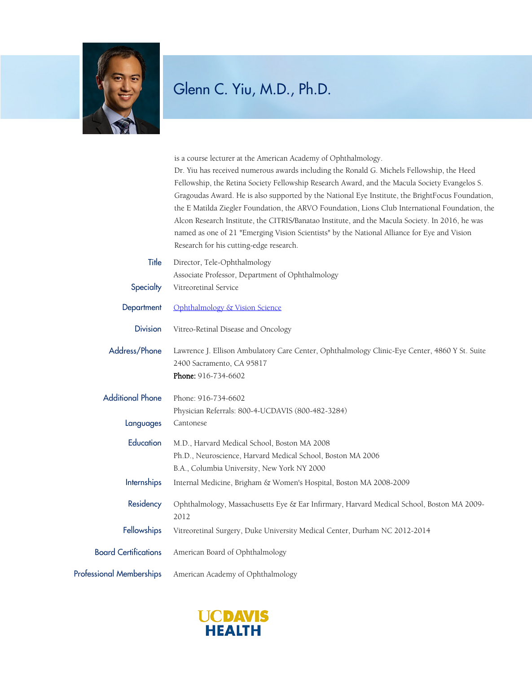

|                                 | is a course lecturer at the American Academy of Ophthalmology.<br>Dr. Yiu has received numerous awards including the Ronald G. Michels Fellowship, the Heed<br>Fellowship, the Retina Society Fellowship Research Award, and the Macula Society Evangelos S.<br>Gragoudas Award. He is also supported by the National Eye Institute, the BrightFocus Foundation,<br>the E Matilda Ziegler Foundation, the ARVO Foundation, Lions Club International Foundation, the<br>Alcon Research Institute, the CITRIS/Banatao Institute, and the Macula Society. In 2016, he was<br>named as one of 21 "Emerging Vision Scientists" by the National Alliance for Eye and Vision<br>Research for his cutting-edge research. |
|---------------------------------|------------------------------------------------------------------------------------------------------------------------------------------------------------------------------------------------------------------------------------------------------------------------------------------------------------------------------------------------------------------------------------------------------------------------------------------------------------------------------------------------------------------------------------------------------------------------------------------------------------------------------------------------------------------------------------------------------------------|
| Title<br>Specialty              | Director, Tele-Ophthalmology<br>Associate Professor, Department of Ophthalmology<br>Vitreoretinal Service                                                                                                                                                                                                                                                                                                                                                                                                                                                                                                                                                                                                        |
| Department                      | Ophthalmology & Vision Science                                                                                                                                                                                                                                                                                                                                                                                                                                                                                                                                                                                                                                                                                   |
| <b>Division</b>                 | Vitreo-Retinal Disease and Oncology                                                                                                                                                                                                                                                                                                                                                                                                                                                                                                                                                                                                                                                                              |
| Address/Phone                   | Lawrence J. Ellison Ambulatory Care Center, Ophthalmology Clinic-Eye Center, 4860 Y St. Suite<br>2400 Sacramento, CA 95817<br>Phone: 916-734-6602                                                                                                                                                                                                                                                                                                                                                                                                                                                                                                                                                                |
| <b>Additional Phone</b>         | Phone: 916-734-6602<br>Physician Referrals: 800-4-UCDAVIS (800-482-3284)                                                                                                                                                                                                                                                                                                                                                                                                                                                                                                                                                                                                                                         |
| Languages                       | Cantonese                                                                                                                                                                                                                                                                                                                                                                                                                                                                                                                                                                                                                                                                                                        |
| Education                       | M.D., Harvard Medical School, Boston MA 2008<br>Ph.D., Neuroscience, Harvard Medical School, Boston MA 2006<br>B.A., Columbia University, New York NY 2000                                                                                                                                                                                                                                                                                                                                                                                                                                                                                                                                                       |
| <b>Internships</b>              | Internal Medicine, Brigham & Women's Hospital, Boston MA 2008-2009                                                                                                                                                                                                                                                                                                                                                                                                                                                                                                                                                                                                                                               |
| Residency                       | Ophthalmology, Massachusetts Eye & Ear Infirmary, Harvard Medical School, Boston MA 2009-<br>2012                                                                                                                                                                                                                                                                                                                                                                                                                                                                                                                                                                                                                |
| Fellowships                     | Vitreoretinal Surgery, Duke University Medical Center, Durham NC 2012-2014                                                                                                                                                                                                                                                                                                                                                                                                                                                                                                                                                                                                                                       |
| <b>Board Certifications</b>     | American Board of Ophthalmology                                                                                                                                                                                                                                                                                                                                                                                                                                                                                                                                                                                                                                                                                  |
| <b>Professional Memberships</b> | American Academy of Ophthalmology                                                                                                                                                                                                                                                                                                                                                                                                                                                                                                                                                                                                                                                                                |
|                                 |                                                                                                                                                                                                                                                                                                                                                                                                                                                                                                                                                                                                                                                                                                                  |

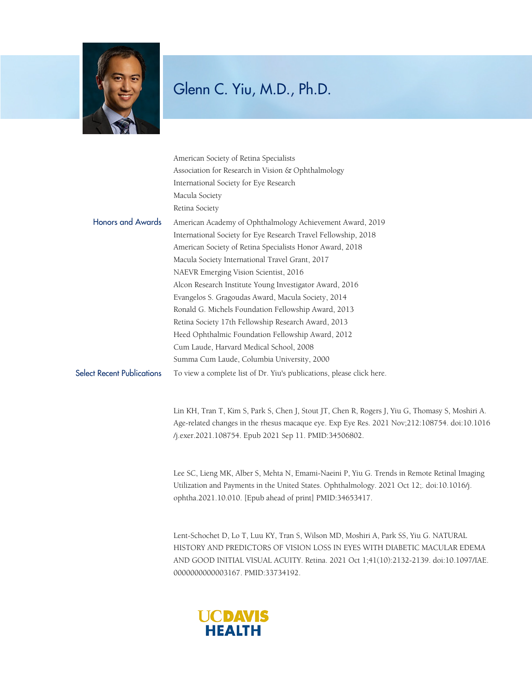

|                                   | American Society of Retina Specialists                                                                                                                |
|-----------------------------------|-------------------------------------------------------------------------------------------------------------------------------------------------------|
|                                   | Association for Research in Vision & Ophthalmology                                                                                                    |
|                                   | International Society for Eye Research                                                                                                                |
|                                   | Macula Society                                                                                                                                        |
|                                   | Retina Society                                                                                                                                        |
| <b>Honors and Awards</b>          | American Academy of Ophthalmology Achievement Award, 2019                                                                                             |
|                                   | International Society for Eye Research Travel Fellowship, 2018                                                                                        |
|                                   | American Society of Retina Specialists Honor Award, 2018                                                                                              |
|                                   | Macula Society International Travel Grant, 2017                                                                                                       |
|                                   | NAEVR Emerging Vision Scientist, 2016                                                                                                                 |
|                                   | Alcon Research Institute Young Investigator Award, 2016                                                                                               |
|                                   | Evangelos S. Gragoudas Award, Macula Society, 2014                                                                                                    |
|                                   | Ronald G. Michels Foundation Fellowship Award, 2013                                                                                                   |
|                                   | Retina Society 17th Fellowship Research Award, 2013                                                                                                   |
|                                   | Heed Ophthalmic Foundation Fellowship Award, 2012                                                                                                     |
|                                   | Cum Laude, Harvard Medical School, 2008                                                                                                               |
|                                   | Summa Cum Laude, Columbia University, 2000                                                                                                            |
| <b>Select Recent Publications</b> | To view a complete list of Dr. Yiu's publications, please click here.                                                                                 |
|                                   | Lin KH, Tran T, Kim S, Park S, Chen J, Stout JT, Chen R, Rogers J, Yiu G, Thomasy S, Moshiri A.                                                       |
|                                   | Age-related changes in the rhesus macaque eye. Exp Eye Res. 2021 Nov;212:108754. doi:10.1016<br>/j.exer.2021.108754. Epub 2021 Sep 11. PMID:34506802. |

Lee SC, Lieng MK, Alber S, Mehta N, Emami-Naeini P, Yiu G. Trends in Remote Retinal Imaging Utilization and Payments in the United States. Ophthalmology. 2021 Oct 12;. doi:10.1016/j. ophtha.2021.10.010. [Epub ahead of print] PMID:34653417.

Lent-Schochet D, Lo T, Luu KY, Tran S, Wilson MD, Moshiri A, Park SS, Yiu G. NATURAL HISTORY AND PREDICTORS OF VISION LOSS IN EYES WITH DIABETIC MACULAR EDEMA AND GOOD INITIAL VISUAL ACUITY. Retina. 2021 Oct 1;41(10):2132-2139. doi:10.1097/IAE. 0000000000003167. PMID:33734192.